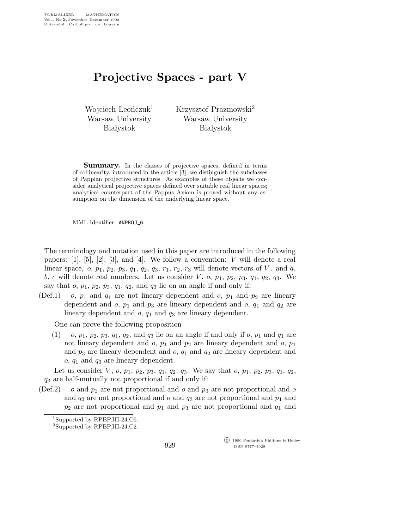## Projective Spaces - part V

Wojciech Leończuk<sup>1</sup> Warsaw University **Białystok** 

Krzysztof Prażmowski<sup>2</sup> Warsaw University **Białystok** 

**Summary.** In the classes of projective spaces, defined in terms of collinearity, introduced in the article [3], we distinguish the subclasses of Pappian projective structures. As examples of these objects we consider analytical projective spaces defined over suitable real linear spaces; analytical counterpart of the Pappus Axiom is proved without any assumption on the dimension of the underlying linear space.

MML Identifier: ANPROJ\_6.

The terminology and notation used in this paper are introduced in the following papers:  $[1]$ ,  $[5]$ ,  $[2]$ ,  $[3]$ , and  $[4]$ . We follow a convention: V will denote a real linear space,  $o, p_1, p_2, p_3, q_1, q_2, q_3, r_1, r_2, r_3$  will denote vectors of V, and a, b, c will denote real numbers. Let us consider  $V$ ,  $o$ ,  $p_1$ ,  $p_2$ ,  $p_3$ ,  $q_1$ ,  $q_2$ ,  $q_3$ . We say that  $o, p_1, p_2, p_3, q_1, q_2,$  and  $q_3$  lie on an angle if and only if:

(Def.1) o,  $p_1$  and  $q_1$  are not lineary dependent and o,  $p_1$  and  $p_2$  are lineary dependent and  $o$ ,  $p_1$  and  $p_3$  are lineary dependent and  $o$ ,  $q_1$  and  $q_2$  are lineary dependent and  $o$ ,  $q_1$  and  $q_3$  are lineary dependent.

One can prove the following proposition

(1) o,  $p_1$ ,  $p_2$ ,  $p_3$ ,  $q_1$ ,  $q_2$ , and  $q_3$  lie on an angle if and only if o,  $p_1$  and  $q_1$  are not lineary dependent and  $o$ ,  $p_1$  and  $p_2$  are lineary dependent and  $o$ ,  $p_1$ and  $p_3$  are lineary dependent and  $o$ ,  $q_1$  and  $q_2$  are lineary dependent and  $o, q_1$  and  $q_3$  are lineary dependent.

Let us consider V, o,  $p_1$ ,  $p_2$ ,  $p_3$ ,  $q_1$ ,  $q_2$ ,  $q_3$ . We say that o,  $p_1$ ,  $p_2$ ,  $p_3$ ,  $q_1$ ,  $q_2$ , q3 are half-mutually not proportional if and only if:

(Def.2) o and  $p_2$  are not proportional and o and  $p_3$  are not proportional and o and  $q_2$  are not proportional and o and  $q_3$  are not proportional and  $p_1$  and  $p_2$  are not proportional and  $p_1$  and  $p_3$  are not proportional and  $q_1$  and

929

 c 1990 Fondation Philippe le Hodey ISSN 0777–4028

<sup>&</sup>lt;sup>1</sup>Supported by RPBP.III-24.C6.

<sup>2</sup>Supported by RPBP.III-24.C2.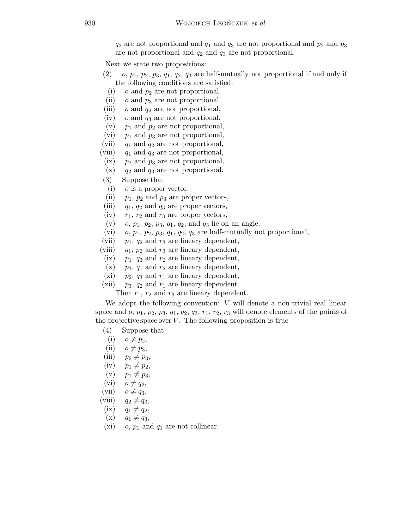$q_2$  are not proportional and  $q_1$  and  $q_3$  are not proportional and  $p_2$  and  $p_3$ are not proportional and  $q_2$  and  $q_3$  are not proportional.

Next we state two propositions:

- $(2)$  o,  $p_1$ ,  $p_2$ ,  $p_3$ ,  $q_1$ ,  $q_2$ ,  $q_3$  are half-mutually not proportional if and only if the following conditions are satisfied:
- (i)  $o$  and  $p_2$  are not proportional,
- (ii)  $o$  and  $p_3$  are not proportional,
- (iii)  $o$  and  $q_2$  are not proportional,
- (iv)  $\sigma$  and  $q_3$  are not proportional,
- (v)  $p_1$  and  $p_2$  are not proportional,
- (vi)  $p_1$  and  $p_3$  are not proportional,
- (vii)  $q_1$  and  $q_2$  are not proportional,
- (viii)  $q_1$  and  $q_3$  are not proportional,
- $(ix)$  *p*<sub>2</sub> and *p*<sub>3</sub> are not proportional,
- $(x)$  q<sub>2</sub> and  $q_3$  are not proportional.
- (3) Suppose that
- (i)  $\theta$  is a proper vector,
- (ii)  $p_1$ ,  $p_2$  and  $p_3$  are proper vectors,
- (iii)  $q_1, q_2$  and  $q_3$  are proper vectors,
- (iv)  $r_1$ ,  $r_2$  and  $r_3$  are proper vectors,
- (v) o,  $p_1$ ,  $p_2$ ,  $p_3$ ,  $q_1$ ,  $q_2$ , and  $q_3$  lie on an angle,
- (vi) o,  $p_1$ ,  $p_2$ ,  $p_3$ ,  $q_1$ ,  $q_2$ ,  $q_3$  are half-mutually not proportional,
- (vii)  $p_1, q_2$  and  $r_3$  are lineary dependent,
- (viii)  $q_1, p_2$  and  $r_3$  are lineary dependent,
- (ix)  $p_1$ ,  $q_3$  and  $r_2$  are lineary dependent,
- $(x)$   $p_3$ ,  $q_1$  and  $r_2$  are lineary dependent,
- (xi)  $p_2$ ,  $q_3$  and  $r_1$  are lineary dependent,
- (xii)  $p_3$ ,  $q_2$  and  $r_1$  are lineary dependent.

Then  $r_1$ ,  $r_2$  and  $r_3$  are lineary dependent.

We adopt the following convention:  $V$  will denote a non-trivial real linear space and  $o, p_1, p_2, p_3, q_1, q_2, q_3, r_1, r_2, r_3$  will denote elements of the points of the projective space over  $V$ . The following proposition is true

- (4) Suppose that
- (i)  $o \neq p_2$ ,
- (ii)  $o \neq p_3$ ,
- (iii)  $p_2 \neq p_3$ ,
- $(iv)$   $p_1 \neq p_2$ ,
- (v)  $p_1 \neq p_3$ ,
- (vi)  $o \neq q_2$ ,
- (vii)  $o \neq q_3$ ,
- (viii)  $q_2 \neq q_3$ ,
- $(ix)$   $q_1 \neq q_2,$
- 
- $(x)$   $q_1 \neq q_3$ ,
- (xi) o,  $p_1$  and  $q_1$  are not collinear,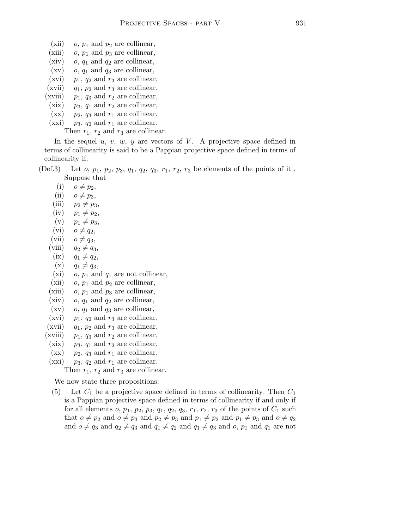- (xii) o,  $p_1$  and  $p_2$  are collinear,
- (xiii) o,  $p_1$  and  $p_3$  are collinear,
- (xiv)  $o, q_1$  and  $q_2$  are collinear,
- $(xv)$  o,  $q_1$  and  $q_3$  are collinear,
- (xvi)  $p_1$ ,  $q_2$  and  $r_3$  are collinear,
- (xvii)  $q_1$ ,  $p_2$  and  $r_3$  are collinear,
- (xviii)  $p_1$ ,  $q_3$  and  $r_2$  are collinear,
- (xix)  $p_3$ ,  $q_1$  and  $r_2$  are collinear,
- $(xx)$   $p_2$ ,  $q_3$  and  $r_1$  are collinear, (xxi)  $p_3$ ,  $q_2$  and  $r_1$  are collinear.
	- Then  $r_1$ ,  $r_2$  and  $r_3$  are collinear.

In the sequel u, v, w, y are vectors of V. A projective space defined in terms of collinearity is said to be a Pappian projective space defined in terms of collinearity if:

(Def.3) Let  $o, p_1, p_2, p_3, q_1, q_2, q_3, r_1, r_2, r_3$  be elements of the points of it. Suppose that

- (i)  $o \neq p_2$ ,
- (ii)  $o \neq p_3$ ,
- (iii)  $p_2 \neq p_3$ ,
- $(iv)$   $p_1 \neq p_2$ ,
- $(v)$   $p_1 \neq p_3$ ,
- (vi)  $o \neq q_2$ ,
- (vii)  $o \neq q_3$ ,
- (viii)  $q_2 \neq q_3$ ,
- (ix)  $q_1 \neq q_2$ ,
- $(x)$   $q_1 \neq q_3$
- (xi)  $o, p_1$  and  $q_1$  are not collinear,
- (xii)  $o, p_1$  and  $p_2$  are collinear,
- (xiii) o,  $p_1$  and  $p_3$  are collinear,
- (xiv) o,  $q_1$  and  $q_2$  are collinear,
- $(xv)$  o,  $q_1$  and  $q_3$  are collinear,
- (xvi)  $p_1$ ,  $q_2$  and  $r_3$  are collinear,
- (xvii)  $q_1$ ,  $p_2$  and  $r_3$  are collinear,
- (xviii)  $p_1$ ,  $q_3$  and  $r_2$  are collinear,
- (xix)  $p_3$ ,  $q_1$  and  $r_2$  are collinear,
- $(xx)$  p<sub>2</sub>, q<sub>3</sub> and  $r_1$  are collinear,
- $(xxi)$   $p_3$ ,  $q_2$  and  $r_1$  are collinear.

Then  $r_1$ ,  $r_2$  and  $r_3$  are collinear.

We now state three propositions:

(5) Let  $C_1$  be a projective space defined in terms of collinearity. Then  $C_1$ is a Pappian projective space defined in terms of collinearity if and only if for all elements  $o, p_1, p_2, p_3, q_1, q_2, q_3, r_1, r_2, r_3$  of the points of  $C_1$  such that  $o \neq p_2$  and  $o \neq p_3$  and  $p_2 \neq p_3$  and  $p_1 \neq p_2$  and  $p_1 \neq p_3$  and  $o \neq q_2$ and  $o \neq q_3$  and  $q_2 \neq q_3$  and  $q_1 \neq q_2$  and  $q_1 \neq q_3$  and  $o, p_1$  and  $q_1$  are not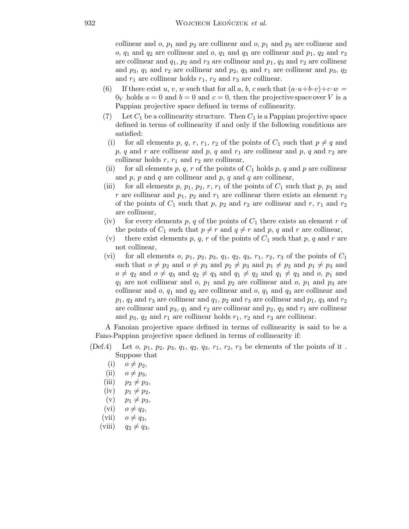collinear and  $o, p_1$  and  $p_2$  are collinear and  $o, p_1$  and  $p_3$  are collinear and o,  $q_1$  and  $q_2$  are collinear and o,  $q_1$  and  $q_3$  are collinear and  $p_1$ ,  $q_2$  and  $r_3$ are collinear and  $q_1$ ,  $p_2$  and  $r_3$  are collinear and  $p_1$ ,  $q_3$  and  $r_2$  are collinear and  $p_3$ ,  $q_1$  and  $r_2$  are collinear and  $p_2$ ,  $q_3$  and  $r_1$  are collinear and  $p_3$ ,  $q_2$ and  $r_1$  are collinear holds  $r_1$ ,  $r_2$  and  $r_3$  are collinear.

- (6) If there exist u, v, w such that for all a, b, c such that  $(a\cdot u+b\cdot v)+c\cdot w=$  $0_V$  holds  $a = 0$  and  $b = 0$  and  $c = 0$ , then the projective space over V is a Pappian projective space defined in terms of collinearity.
- (7) Let  $C_1$  be a collinearity structure. Then  $C_1$  is a Pappian projective space defined in terms of collinearity if and only if the following conditions are satisfied:
	- (i) for all elements p, q, r, r<sub>1</sub>, r<sub>2</sub> of the points of  $C_1$  such that  $p \neq q$  and p, q and r are collinear and p, q and  $r_1$  are collinear and p, q and  $r_2$  are collinear holds  $r, r_1$  and  $r_2$  are collinear,
- (ii) for all elements p, q, r of the points of  $C_1$  holds p, q and p are collinear and  $p, p$  and  $q$  are collinear and  $p, q$  and  $q$  are collinear,
- (iii) for all elements p,  $p_1$ ,  $p_2$ , r,  $r_1$  of the points of  $C_1$  such that p,  $p_1$  and r are collinear and  $p_1$ ,  $p_2$  and  $r_1$  are collinear there exists an element  $r_2$ of the points of  $C_1$  such that p,  $p_2$  and  $r_2$  are collinear and r,  $r_1$  and  $r_2$ are collinear,
- (iv) for every elements p, q of the points of  $C_1$  there exists an element r of the points of  $C_1$  such that  $p \neq r$  and  $q \neq r$  and p, q and r are collinear,
- (v) there exist elements p, q, r of the points of  $C_1$  such that p, q and r are not collinear,
- (vi) for all elements  $o, p_1, p_2, p_3, q_1, q_2, q_3, r_1, r_2, r_3$  of the points of  $C_1$ such that  $o \neq p_2$  and  $o \neq p_3$  and  $p_2 \neq p_3$  and  $p_1 \neq p_2$  and  $p_1 \neq p_3$  and  $o \neq q_2$  and  $o \neq q_3$  and  $q_2 \neq q_3$  and  $q_1 \neq q_2$  and  $q_1 \neq q_3$  and  $o, p_1$  and  $q_1$  are not collinear and o,  $p_1$  and  $p_2$  are collinear and o,  $p_1$  and  $p_3$  are collinear and  $o, q_1$  and  $q_2$  are collinear and  $o, q_1$  and  $q_3$  are collinear and  $p_1, q_2$  and  $r_3$  are collinear and  $q_1, p_2$  and  $r_3$  are collinear and  $p_1, q_3$  and  $r_2$ are collinear and  $p_3$ ,  $q_1$  and  $r_2$  are collinear and  $p_2$ ,  $q_3$  and  $r_1$  are collinear and  $p_3$ ,  $q_2$  and  $r_1$  are collinear holds  $r_1$ ,  $r_2$  and  $r_3$  are collinear.

A Fanoian projective space defined in terms of collinearity is said to be a Fano-Pappian projective space defined in terms of collinearity if:

- (Def.4) Let  $o, p_1, p_2, p_3, q_1, q_2, q_3, r_1, r_2, r_3$  be elements of the points of it. Suppose that
	- $(i)$   $o \neq p_2$ ,
	- (ii)  $o \neq p_3$ ,
	- (iii)  $p_2 \neq p_3$ ,
	- $(iv)$   $p_1 \neq p_2$ ,
	- $(v)$   $p_1 \neq p_3$ ,
	- (vi)  $o \neq q_2$ ,
	- (vii)  $o \neq q_3$ ,
	- (viii)  $q_2 \neq q_3$ ,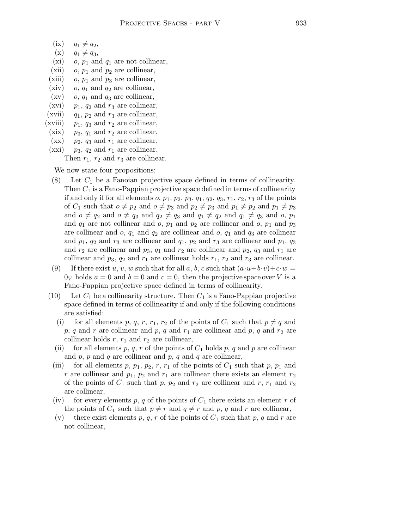- $(ix)$   $q_1 \neq q_2,$
- $(x)$   $q_1 \neq q_3$ ,
- (xi) o,  $p_1$  and  $q_1$  are not collinear,
- (xii) o,  $p_1$  and  $p_2$  are collinear,
- (xiii) o,  $p_1$  and  $p_3$  are collinear,
- (xiv)  $o, q_1$  and  $q_2$  are collinear,
- $(xv)$  o,  $q_1$  and  $q_3$  are collinear,
- (xvi)  $p_1$ ,  $q_2$  and  $r_3$  are collinear,
- (xvii)  $q_1$ ,  $p_2$  and  $r_3$  are collinear,
- (xviii)  $p_1$ ,  $q_3$  and  $r_2$  are collinear,
- (xix)  $p_3$ ,  $q_1$  and  $r_2$  are collinear,
- $(xx)$  p<sub>2</sub>, q<sub>3</sub> and  $r_1$  are collinear,
- (xxi)  $p_3$ ,  $q_2$  and  $r_1$  are collinear.

Then  $r_1$ ,  $r_2$  and  $r_3$  are collinear.

We now state four propositions:

- (8) Let  $C_1$  be a Fanoian projective space defined in terms of collinearity. Then  $C_1$  is a Fano-Pappian projective space defined in terms of collinearity if and only if for all elements  $o, p_1, p_2, p_3, q_1, q_2, q_3, r_1, r_2, r_3$  of the points of  $C_1$  such that  $o \neq p_2$  and  $o \neq p_3$  and  $p_2 \neq p_3$  and  $p_1 \neq p_2$  and  $p_1 \neq p_3$ and  $o \neq q_2$  and  $o \neq q_3$  and  $q_2 \neq q_3$  and  $q_1 \neq q_2$  and  $q_1 \neq q_3$  and  $o, p_1$ and  $q_1$  are not collinear and  $o$ ,  $p_1$  and  $p_2$  are collinear and  $o$ ,  $p_1$  and  $p_3$ are collinear and  $o, q_1$  and  $q_2$  are collinear and  $o, q_1$  and  $q_3$  are collinear and  $p_1$ ,  $q_2$  and  $r_3$  are collinear and  $q_1$ ,  $p_2$  and  $r_3$  are collinear and  $p_1$ ,  $q_3$ and  $r_2$  are collinear and  $p_3$ ,  $q_1$  and  $r_2$  are collinear and  $p_2$ ,  $q_3$  and  $r_1$  are collinear and  $p_3$ ,  $q_2$  and  $r_1$  are collinear holds  $r_1$ ,  $r_2$  and  $r_3$  are collinear.
- (9) If there exist u, v, w such that for all a, b, c such that  $(a \cdot u + b \cdot v) + c \cdot w =$  $0_V$  holds  $a = 0$  and  $b = 0$  and  $c = 0$ , then the projective space over V is a Fano-Pappian projective space defined in terms of collinearity.
- (10) Let  $C_1$  be a collinearity structure. Then  $C_1$  is a Fano-Pappian projective space defined in terms of collinearity if and only if the following conditions are satisfied:
	- (i) for all elements p, q, r, r<sub>1</sub>, r<sub>2</sub> of the points of  $C_1$  such that  $p \neq q$  and  $p, q$  and r are collinear and p, q and  $r_1$  are collinear and p, q and  $r_2$  are collinear holds  $r$ ,  $r_1$  and  $r_2$  are collinear,
	- (ii) for all elements p, q, r of the points of  $C_1$  holds p, q and p are collinear and  $p$ ,  $p$  and  $q$  are collinear and  $p$ ,  $q$  and  $q$  are collinear,
	- (iii) for all elements p,  $p_1$ ,  $p_2$ , r,  $r_1$  of the points of  $C_1$  such that p,  $p_1$  and r are collinear and  $p_1$ ,  $p_2$  and  $r_1$  are collinear there exists an element  $r_2$ of the points of  $C_1$  such that p,  $p_2$  and  $r_2$  are collinear and r,  $r_1$  and  $r_2$ are collinear,
	- (iv) for every elements p, q of the points of  $C_1$  there exists an element r of the points of  $C_1$  such that  $p \neq r$  and  $q \neq r$  and p, q and r are collinear,
	- (v) there exist elements p, q, r of the points of  $C_1$  such that p, q and r are not collinear,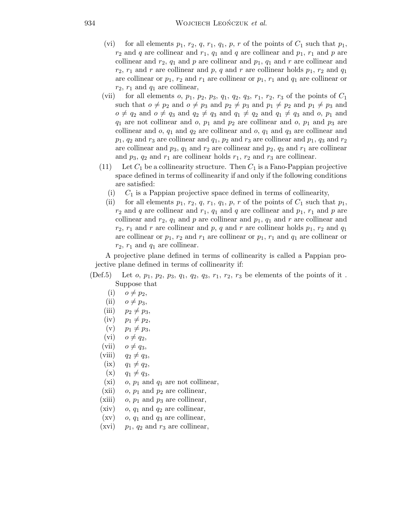- (vi) for all elements  $p_1, r_2, q, r_1, q_1, p, r$  of the points of  $C_1$  such that  $p_1$ ,  $r_2$  and q are collinear and  $r_1$ ,  $q_1$  and q are collinear and  $p_1$ ,  $r_1$  and p are collinear and  $r_2$ ,  $q_1$  and p are collinear and  $p_1$ ,  $q_1$  and r are collinear and  $r_2$ ,  $r_1$  and r are collinear and p, q and r are collinear holds  $p_1$ ,  $r_2$  and  $q_1$ are collinear or  $p_1, r_2$  and  $r_1$  are collinear or  $p_1, r_1$  and  $q_1$  are collinear or  $r_2$ ,  $r_1$  and  $q_1$  are collinear,
- (vii) for all elements  $o$ ,  $p_1$ ,  $p_2$ ,  $p_3$ ,  $q_1$ ,  $q_2$ ,  $q_3$ ,  $r_1$ ,  $r_2$ ,  $r_3$  of the points of  $C_1$ such that  $o \neq p_2$  and  $o \neq p_3$  and  $p_2 \neq p_3$  and  $p_1 \neq p_2$  and  $p_1 \neq p_3$  and  $o \neq q_2$  and  $o \neq q_3$  and  $q_2 \neq q_3$  and  $q_1 \neq q_2$  and  $q_1 \neq q_3$  and  $o, p_1$  and  $q_1$  are not collinear and o,  $p_1$  and  $p_2$  are collinear and o,  $p_1$  and  $p_3$  are collinear and  $o$ ,  $q_1$  and  $q_2$  are collinear and  $o$ ,  $q_1$  and  $q_3$  are collinear and  $p_1, q_2$  and  $r_3$  are collinear and  $q_1, p_2$  and  $r_3$  are collinear and  $p_1, q_3$  and  $r_2$ are collinear and  $p_3$ ,  $q_1$  and  $r_2$  are collinear and  $p_2$ ,  $q_3$  and  $r_1$  are collinear and  $p_3$ ,  $q_2$  and  $r_1$  are collinear holds  $r_1$ ,  $r_2$  and  $r_3$  are collinear.
- (11) Let  $C_1$  be a collinearity structure. Then  $C_1$  is a Fano-Pappian projective space defined in terms of collinearity if and only if the following conditions are satisfied:
	- (i)  $C_1$  is a Pappian projective space defined in terms of collinearity,
	- (ii) for all elements  $p_1, r_2, q, r_1, q_1, p, r$  of the points of  $C_1$  such that  $p_1$ ,  $r_2$  and q are collinear and  $r_1$ ,  $q_1$  and q are collinear and  $p_1$ ,  $r_1$  and p are collinear and  $r_2$ ,  $q_1$  and p are collinear and  $p_1$ ,  $q_1$  and r are collinear and  $r_2$ ,  $r_1$  and r are collinear and p, q and r are collinear holds  $p_1$ ,  $r_2$  and  $q_1$ are collinear or  $p_1, r_2$  and  $r_1$  are collinear or  $p_1, r_1$  and  $q_1$  are collinear or  $r_2$ ,  $r_1$  and  $q_1$  are collinear.

A projective plane defined in terms of collinearity is called a Pappian projective plane defined in terms of collinearity if:

- (Def.5) Let  $o, p_1, p_2, p_3, q_1, q_2, q_3, r_1, r_2, r_3$  be elements of the points of it. Suppose that
	- $(i)$   $o \neq p_2$ ,
	- (ii)  $o \neq p_3$ ,
	- (iii)  $p_2 \neq p_3$ ,
	- $(iv)$   $p_1 \neq p_2$ ,
	- $(v)$   $p_1 \neq p_3$ ,
	- $(vi)$   $o \neq q_2$ ,
	- (vii)  $o \neq q_3$ ,
	-
	- (viii)  $q_2 \neq q_3$ ,
	- $(ix)$   $q_1 \neq q_2,$
	- $(x)$   $q_1 \neq q_3$ ,
	- (xi) o,  $p_1$  and  $q_1$  are not collinear,
	- (xii) o,  $p_1$  and  $p_2$  are collinear,
	- (xiii) o,  $p_1$  and  $p_3$  are collinear,
	- (xiv) o,  $q_1$  and  $q_2$  are collinear,
	- $(xv)$  o,  $q_1$  and  $q_3$  are collinear,
	- (xvi)  $p_1$ ,  $q_2$  and  $r_3$  are collinear,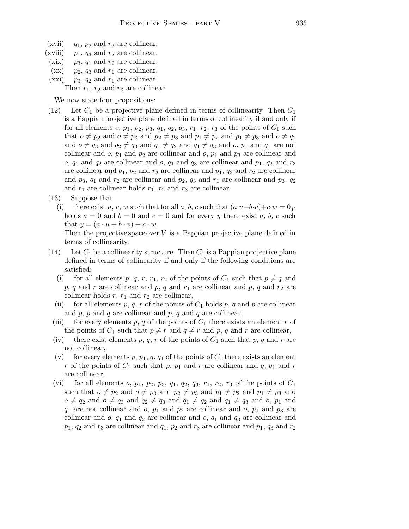- (xvii)  $q_1$ ,  $p_2$  and  $r_3$  are collinear,
- (xviii)  $p_1$ ,  $q_3$  and  $r_2$  are collinear,
- (xix)  $p_3$ ,  $q_1$  and  $r_2$  are collinear,
- $(xx)$  p<sub>2</sub>, q<sub>3</sub> and  $r_1$  are collinear,
- (xxi)  $p_3$ ,  $q_2$  and  $r_1$  are collinear.

Then  $r_1$ ,  $r_2$  and  $r_3$  are collinear.

We now state four propositions:

- (12) Let  $C_1$  be a projective plane defined in terms of collinearity. Then  $C_1$ is a Pappian projective plane defined in terms of collinearity if and only if for all elements  $o, p_1, p_2, p_3, q_1, q_2, q_3, r_1, r_2, r_3$  of the points of  $C_1$  such that  $o \neq p_2$  and  $o \neq p_3$  and  $p_2 \neq p_3$  and  $p_1 \neq p_2$  and  $p_1 \neq p_3$  and  $o \neq q_2$ and  $o \neq q_3$  and  $q_2 \neq q_3$  and  $q_1 \neq q_2$  and  $q_1 \neq q_3$  and  $o, p_1$  and  $q_1$  are not collinear and  $o, p_1$  and  $p_2$  are collinear and  $o, p_1$  and  $p_3$  are collinear and o,  $q_1$  and  $q_2$  are collinear and o,  $q_1$  and  $q_3$  are collinear and  $p_1$ ,  $q_2$  and  $r_3$ are collinear and  $q_1$ ,  $p_2$  and  $r_3$  are collinear and  $p_1$ ,  $q_3$  and  $r_2$  are collinear and  $p_3$ ,  $q_1$  and  $r_2$  are collinear and  $p_2$ ,  $q_3$  and  $r_1$  are collinear and  $p_3$ ,  $q_2$ and  $r_1$  are collinear holds  $r_1$ ,  $r_2$  and  $r_3$  are collinear.
- (13) Suppose that

(i) there exist u, v, w such that for all a, b, c such that  $(a\cdot u+b\cdot v)+c\cdot w=0_V$ holds  $a = 0$  and  $b = 0$  and  $c = 0$  and for every y there exist a, b, c such that  $y = (a \cdot u + b \cdot v) + c \cdot w$ .

Then the projective space over  $V$  is a Pappian projective plane defined in terms of collinearity.

- (14) Let  $C_1$  be a collinearity structure. Then  $C_1$  is a Pappian projective plane defined in terms of collinearity if and only if the following conditions are satisfied:
	- (i) for all elements p, q, r, r<sub>1</sub>, r<sub>2</sub> of the points of  $C_1$  such that  $p \neq q$  and p, q and r are collinear and p, q and  $r_1$  are collinear and p, q and  $r_2$  are collinear holds  $r, r_1$  and  $r_2$  are collinear,
	- (ii) for all elements p, q, r of the points of  $C_1$  holds p, q and p are collinear and  $p, p$  and  $q$  are collinear and  $p, q$  and  $q$  are collinear,
	- (iii) for every elements p, q of the points of  $C_1$  there exists an element r of the points of  $C_1$  such that  $p \neq r$  and  $q \neq r$  and p, q and r are collinear,
	- (iv) there exist elements p, q, r of the points of  $C_1$  such that p, q and r are not collinear,
	- (v) for every elements p,  $p_1$ , q,  $q_1$  of the points of  $C_1$  there exists an element r of the points of  $C_1$  such that p,  $p_1$  and r are collinear and q,  $q_1$  and r are collinear,
	- (vi) for all elements o,  $p_1$ ,  $p_2$ ,  $p_3$ ,  $q_1$ ,  $q_2$ ,  $q_3$ ,  $r_1$ ,  $r_2$ ,  $r_3$  of the points of  $C_1$ such that  $o \neq p_2$  and  $o \neq p_3$  and  $p_2 \neq p_3$  and  $p_1 \neq p_2$  and  $p_1 \neq p_3$  and  $o \neq q_2$  and  $o \neq q_3$  and  $q_2 \neq q_3$  and  $q_1 \neq q_2$  and  $q_1 \neq q_3$  and  $o, p_1$  and  $q_1$  are not collinear and o,  $p_1$  and  $p_2$  are collinear and o,  $p_1$  and  $p_3$  are collinear and  $o$ ,  $q_1$  and  $q_2$  are collinear and  $o$ ,  $q_1$  and  $q_3$  are collinear and  $p_1, q_2$  and  $r_3$  are collinear and  $q_1, p_2$  and  $r_3$  are collinear and  $p_1, q_3$  and  $r_2$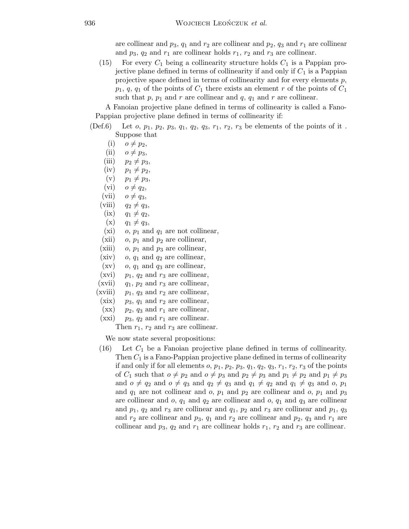are collinear and  $p_3$ ,  $q_1$  and  $r_2$  are collinear and  $p_2$ ,  $q_3$  and  $r_1$  are collinear and  $p_3$ ,  $q_2$  and  $r_1$  are collinear holds  $r_1$ ,  $r_2$  and  $r_3$  are collinear.

(15) For every  $C_1$  being a collinearity structure holds  $C_1$  is a Pappian projective plane defined in terms of collinearity if and only if  $C_1$  is a Pappian projective space defined in terms of collinearity and for every elements p,  $p_1$ ,  $q$ ,  $q_1$  of the points of  $C_1$  there exists an element r of the points of  $C_1$ such that  $p, p_1$  and r are collinear and  $q, q_1$  and r are collinear.

A Fanoian projective plane defined in terms of collinearity is called a Fano-Pappian projective plane defined in terms of collinearity if:

- (Def.6) Let  $o, p_1, p_2, p_3, q_1, q_2, q_3, r_1, r_2, r_3$  be elements of the points of it. Suppose that
	- $(i)$   $o \neq p_2$ ,
	- (ii)  $o \neq p_3$ ,
	- (iii)  $p_2 \neq p_3$ ,
	- $(iv)$   $p_1 \neq p_2$ ,
	- $(v)$   $p_1 \neq p_3$ ,
	- (vi)  $o \neq q_2$ ,
	- (vii)  $o \neq q_3$ ,
	- (viii)  $q_2 \neq q_3$ ,
	- $(ix)$   $q_1 \neq q_2,$
	- $(x)$   $q_1 \neq q_3$ ,
	- (xi) o,  $p_1$  and  $q_1$  are not collinear,
	- (xii) o,  $p_1$  and  $p_2$  are collinear,
	- (xiii)  $o, p_1$  and  $p_3$  are collinear,
	- (xiv) o,  $q_1$  and  $q_2$  are collinear,
	- $(xv)$  o,  $q_1$  and  $q_3$  are collinear,
	- (xvi)  $p_1$ ,  $q_2$  and  $r_3$  are collinear,
	- (xvii)  $q_1$ ,  $p_2$  and  $r_3$  are collinear,
	- (xviii)  $p_1, q_3$  and  $r_2$  are collinear,
	- $(xix)$  p<sub>3</sub>,  $q_1$  and  $r_2$  are collinear,
	- $(xx)$   $p_2$ ,  $q_3$  and  $r_1$  are collinear,
	- $(xxi)$   $p_3$ ,  $q_2$  and  $r_1$  are collinear.

Then  $r_1$ ,  $r_2$  and  $r_3$  are collinear.

We now state several propositions:

 $(16)$  Let  $C_1$  be a Fanoian projective plane defined in terms of collinearity. Then  $C_1$  is a Fano-Pappian projective plane defined in terms of collinearity if and only if for all elements  $o, p_1, p_2, p_3, q_1, q_2, q_3, r_1, r_2, r_3$  of the points of  $C_1$  such that  $o \neq p_2$  and  $o \neq p_3$  and  $p_2 \neq p_3$  and  $p_1 \neq p_2$  and  $p_1 \neq p_3$ and  $o \neq q_2$  and  $o \neq q_3$  and  $q_2 \neq q_3$  and  $q_1 \neq q_2$  and  $q_1 \neq q_3$  and  $o, p_1$ and  $q_1$  are not collinear and o,  $p_1$  and  $p_2$  are collinear and o,  $p_1$  and  $p_3$ are collinear and  $o, q_1$  and  $q_2$  are collinear and  $o, q_1$  and  $q_3$  are collinear and  $p_1$ ,  $q_2$  and  $r_3$  are collinear and  $q_1$ ,  $p_2$  and  $r_3$  are collinear and  $p_1$ ,  $q_3$ and  $r_2$  are collinear and  $p_3$ ,  $q_1$  and  $r_2$  are collinear and  $p_2$ ,  $q_3$  and  $r_1$  are collinear and  $p_3$ ,  $q_2$  and  $r_1$  are collinear holds  $r_1$ ,  $r_2$  and  $r_3$  are collinear.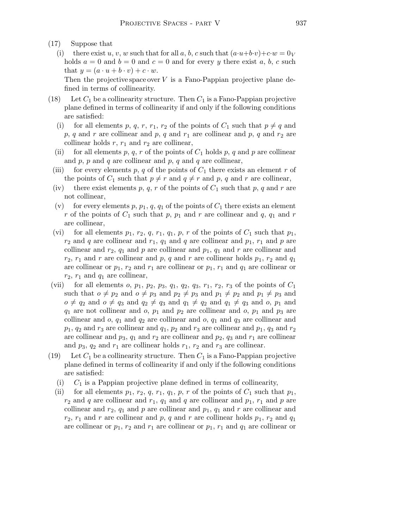- (17) Suppose that
	- (i) there exist u, v, w such that for all a, b, c such that  $(a\cdot u+b\cdot v)+c\cdot w=0_V$ holds  $a = 0$  and  $b = 0$  and  $c = 0$  and for every y there exist a, b, c such that  $y = (a \cdot u + b \cdot v) + c \cdot w$ .

Then the projective space over  $V$  is a Fano-Pappian projective plane defined in terms of collinearity.

- (18) Let  $C_1$  be a collinearity structure. Then  $C_1$  is a Fano-Pappian projective plane defined in terms of collinearity if and only if the following conditions are satisfied:
	- (i) for all elements p, q, r, r<sub>1</sub>, r<sub>2</sub> of the points of  $C_1$  such that  $p \neq q$  and p, q and r are collinear and p, q and  $r_1$  are collinear and p, q and  $r_2$  are collinear holds  $r, r_1$  and  $r_2$  are collinear,
	- (ii) for all elements p, q, r of the points of  $C_1$  holds p, q and p are collinear and  $p$ ,  $p$  and  $q$  are collinear and  $p$ ,  $q$  and  $q$  are collinear,
	- (iii) for every elements p, q of the points of  $C_1$  there exists an element r of the points of  $C_1$  such that  $p \neq r$  and  $q \neq r$  and p, q and r are collinear,
	- (iv) there exist elements p, q, r of the points of  $C_1$  such that p, q and r are not collinear,
	- (v) for every elements p,  $p_1$ ,  $q$ ,  $q_1$  of the points of  $C_1$  there exists an element r of the points of  $C_1$  such that p,  $p_1$  and r are collinear and q,  $q_1$  and r are collinear,
	- (vi) for all elements  $p_1, r_2, q, r_1, q_1, p, r$  of the points of  $C_1$  such that  $p_1$ ,  $r_2$  and q are collinear and  $r_1$ ,  $q_1$  and q are collinear and  $p_1$ ,  $r_1$  and p are collinear and  $r_2$ ,  $q_1$  and p are collinear and  $p_1$ ,  $q_1$  and r are collinear and  $r_2$ ,  $r_1$  and r are collinear and p, q and r are collinear holds  $p_1$ ,  $r_2$  and  $q_1$ are collinear or  $p_1$ ,  $r_2$  and  $r_1$  are collinear or  $p_1$ ,  $r_1$  and  $q_1$  are collinear or  $r_2$ ,  $r_1$  and  $q_1$  are collinear,
- (vii) for all elements o,  $p_1$ ,  $p_2$ ,  $p_3$ ,  $q_1$ ,  $q_2$ ,  $q_3$ ,  $r_1$ ,  $r_2$ ,  $r_3$  of the points of  $C_1$ such that  $o \neq p_2$  and  $o \neq p_3$  and  $p_2 \neq p_3$  and  $p_1 \neq p_2$  and  $p_1 \neq p_3$  and  $o \neq q_2$  and  $o \neq q_3$  and  $q_2 \neq q_3$  and  $q_1 \neq q_2$  and  $q_1 \neq q_3$  and  $o, p_1$  and  $q_1$  are not collinear and  $o$ ,  $p_1$  and  $p_2$  are collinear and  $o$ ,  $p_1$  and  $p_3$  are collinear and  $o, q_1$  and  $q_2$  are collinear and  $o, q_1$  and  $q_3$  are collinear and  $p_1, q_2$  and  $r_3$  are collinear and  $q_1, p_2$  and  $r_3$  are collinear and  $p_1, q_3$  and  $r_2$ are collinear and  $p_3$ ,  $q_1$  and  $r_2$  are collinear and  $p_2$ ,  $q_3$  and  $r_1$  are collinear and  $p_3$ ,  $q_2$  and  $r_1$  are collinear holds  $r_1$ ,  $r_2$  and  $r_3$  are collinear.
- (19) Let  $C_1$  be a collinearity structure. Then  $C_1$  is a Fano-Pappian projective plane defined in terms of collinearity if and only if the following conditions are satisfied:
	- (i)  $C_1$  is a Pappian projective plane defined in terms of collinearity,
	- (ii) for all elements  $p_1, r_2, q, r_1, q_1, p, r$  of the points of  $C_1$  such that  $p_1$ ,  $r_2$  and q are collinear and  $r_1$ ,  $q_1$  and q are collinear and  $p_1$ ,  $r_1$  and p are collinear and  $r_2$ ,  $q_1$  and p are collinear and  $p_1$ ,  $q_1$  and r are collinear and  $r_2$ ,  $r_1$  and r are collinear and p, q and r are collinear holds  $p_1$ ,  $r_2$  and  $q_1$ are collinear or  $p_1, r_2$  and  $r_1$  are collinear or  $p_1, r_1$  and  $q_1$  are collinear or